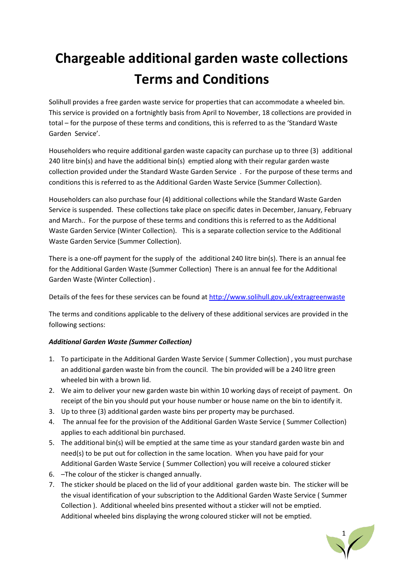# **Chargeable additional garden waste collections Terms and Conditions**

Solihull provides a free garden waste service for properties that can accommodate a wheeled bin. This service is provided on a fortnightly basis from April to November, 18 collections are provided in total – for the purpose of these terms and conditions, this is referred to as the 'Standard Waste Garden Service'.

Householders who require additional garden waste capacity can purchase up to three (3) additional 240 litre bin(s) and have the additional bin(s) emptied along with their regular garden waste collection provided under the Standard Waste Garden Service . For the purpose of these terms and conditions this is referred to as the Additional Garden Waste Service (Summer Collection).

Householders can also purchase four (4) additional collections while the Standard Waste Garden Service is suspended. These collections take place on specific dates in December, January, February and March.. For the purpose of these terms and conditions this is referred to as the Additional Waste Garden Service (Winter Collection). This is a separate collection service to the Additional Waste Garden Service (Summer Collection).

There is a one-off payment for the supply of the additional 240 litre bin(s). There is an annual fee for the Additional Garden Waste (Summer Collection) There is an annual fee for the Additional Garden Waste (Winter Collection) .

Details of the fees for these services can be found at<http://www.solihull.gov.uk/extragreenwaste>

The terms and conditions applicable to the delivery of these additional services are provided in the following sections:

# *Additional Garden Waste (Summer Collection)*

- 1. To participate in the Additional Garden Waste Service ( Summer Collection) , you must purchase an additional garden waste bin from the council. The bin provided will be a 240 litre green wheeled bin with a brown lid.
- 2. We aim to deliver your new garden waste bin within 10 working days of receipt of payment. On receipt of the bin you should put your house number or house name on the bin to identify it.
- 3. Up to three (3) additional garden waste bins per property may be purchased.
- 4. The annual fee for the provision of the Additional Garden Waste Service ( Summer Collection) applies to each additional bin purchased.
- 5. The additional bin(s) will be emptied at the same time as your standard garden waste bin and need(s) to be put out for collection in the same location. When you have paid for your Additional Garden Waste Service ( Summer Collection) you will receive a coloured sticker
- 6. –The colour of the sticker is changed annually.
- 7. The sticker should be placed on the lid of your additional garden waste bin. The sticker will be the visual identification of your subscription to the Additional Garden Waste Service ( Summer Collection ). Additional wheeled bins presented without a sticker will not be emptied. Additional wheeled bins displaying the wrong coloured sticker will not be emptied.

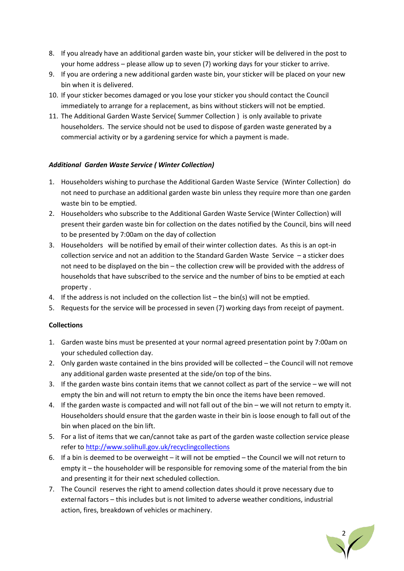- 8. If you already have an additional garden waste bin, your sticker will be delivered in the post to your home address – please allow up to seven (7) working days for your sticker to arrive.
- 9. If you are ordering a new additional garden waste bin, your sticker will be placed on your new bin when it is delivered.
- 10. If your sticker becomes damaged or you lose your sticker you should contact the Council immediately to arrange for a replacement, as bins without stickers will not be emptied.
- 11. The Additional Garden Waste Service( Summer Collection ) is only available to private householders. The service should not be used to dispose of garden waste generated by a commercial activity or by a gardening service for which a payment is made.

## *Additional Garden Waste Service ( Winter Collection)*

- 1. Householders wishing to purchase the Additional Garden Waste Service (Winter Collection) do not need to purchase an additional garden waste bin unless they require more than one garden waste bin to be emptied.
- 2. Householders who subscribe to the Additional Garden Waste Service (Winter Collection) will present their garden waste bin for collection on the dates notified by the Council, bins will need to be presented by 7:00am on the day of collection
- 3. Householders will be notified by email of their winter collection dates. As this is an opt-in collection service and not an addition to the Standard Garden Waste Service – a sticker does not need to be displayed on the bin – the collection crew will be provided with the address of households that have subscribed to the service and the number of bins to be emptied at each property .
- 4. If the address is not included on the collection list the bin(s) will not be emptied.
- 5. Requests for the service will be processed in seven (7) working days from receipt of payment.

#### **Collections**

- 1. Garden waste bins must be presented at your normal agreed presentation point by 7:00am on your scheduled collection day.
- 2. Only garden waste contained in the bins provided will be collected the Council will not remove any additional garden waste presented at the side/on top of the bins.
- 3. If the garden waste bins contain items that we cannot collect as part of the service we will not empty the bin and will not return to empty the bin once the items have been removed.
- 4. If the garden waste is compacted and will not fall out of the bin we will not return to empty it. Householders should ensure that the garden waste in their bin is loose enough to fall out of the bin when placed on the bin lift.
- 5. For a list of items that we can/cannot take as part of the garden waste collection service please refer t[o http://www.solihull.gov.uk/recyclingcollections](http://www.solihull.gov.uk/recyclingcollections)
- 6. If a bin is deemed to be overweight it will not be emptied the Council we will not return to empty it – the householder will be responsible for removing some of the material from the bin and presenting it for their next scheduled collection.
- 7. The Council reserves the right to amend collection dates should it prove necessary due to external factors – this includes but is not limited to adverse weather conditions, industrial action, fires, breakdown of vehicles or machinery.

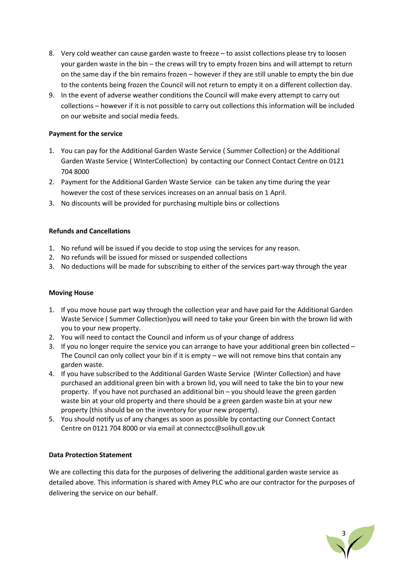- 8. Very cold weather can cause garden waste to freeze to assist collections please try to loosen your garden waste in the bin – the crews will try to empty frozen bins and will attempt to return on the same day if the bin remains frozen – however if they are still unable to empty the bin due to the contents being frozen the Council will not return to empty it on a different collection day.
- 9. In the event of adverse weather conditions the Council will make every attempt to carry out collections – however if it is not possible to carry out collections this information will be included on our website and social media feeds.

#### **Payment for the service**

- 1. You can pay for the Additional Garden Waste Service ( Summer Collection) or the Additional Garden Waste Service ( WInterCollection) by contacting our Connect Contact Centre on 0121 704 8000
- 2. Payment for the Additional Garden Waste Service can be taken any time during the year however the cost of these services increases on an annual basis on 1 April.
- 3. No discounts will be provided for purchasing multiple bins or collections

## **Refunds and Cancellations**

- 1. No refund will be issued if you decide to stop using the services for any reason.
- 2. No refunds will be issued for missed or suspended collections
- 3. No deductions will be made for subscribing to either of the services part-way through the year

#### **Moving House**

- 1. If you move house part way through the collection year and have paid for the Additional Garden Waste Service ( Summer Collection)you will need to take your Green bin with the brown lid with you to your new property.
- 2. You will need to contact the Council and inform us of your change of address
- 3. If you no longer require the service you can arrange to have your additional green bin collected The Council can only collect your bin if it is empty – we will not remove bins that contain any garden waste.
- 4. If you have subscribed to the Additional Garden Waste Service (Winter Collection) and have purchased an additional green bin with a brown lid, you will need to take the bin to your new property. If you have not purchased an additional bin – you should leave the green garden waste bin at your old property and there should be a green garden waste bin at your new property (this should be on the inventory for your new property).
- 5. You should notify us of any changes as soon as possible by contacting our Connect Contact Centre on 0121 704 8000 or via email at connectcc@solihull.gov.uk

#### **Data Protection Statement**

We are collecting this data for the purposes of delivering the additional garden waste service as detailed above. This information is shared with Amey PLC who are our contractor for the purposes of delivering the service on our behalf.